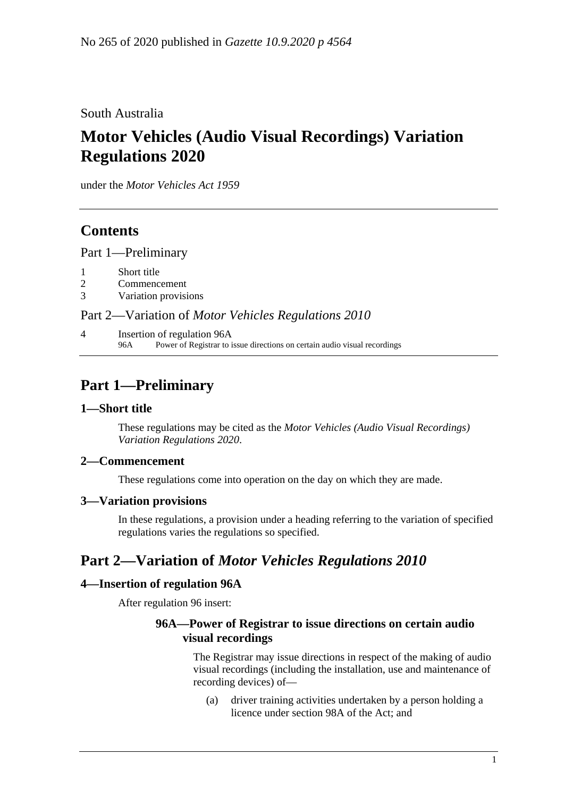South Australia

# **Motor Vehicles (Audio Visual Recordings) Variation Regulations 2020**

under the *Motor Vehicles Act 1959*

## **Contents**

Part [1—Preliminary](#page-0-0)

- 1 [Short title](#page-0-1)
- 2 [Commencement](#page-0-2)
- 3 [Variation provisions](#page-0-3)

#### Part 2—Variation of *[Motor Vehicles Regulations](#page-0-4) 2010*

4 [Insertion of regulation 96A](#page-0-5) 96A Power of Registrar to issue directions on certain audio visual recordings

## <span id="page-0-0"></span>**Part 1—Preliminary**

#### <span id="page-0-1"></span>**1—Short title**

These regulations may be cited as the *Motor Vehicles (Audio Visual Recordings) Variation Regulations 2020*.

#### <span id="page-0-2"></span>**2—Commencement**

These regulations come into operation on the day on which they are made.

#### <span id="page-0-3"></span>**3—Variation provisions**

In these regulations, a provision under a heading referring to the variation of specified regulations varies the regulations so specified.

### <span id="page-0-4"></span>**Part 2—Variation of** *Motor Vehicles Regulations 2010*

#### <span id="page-0-5"></span>**4—Insertion of regulation 96A**

After regulation 96 insert:

#### **96A—Power of Registrar to issue directions on certain audio visual recordings**

The Registrar may issue directions in respect of the making of audio visual recordings (including the installation, use and maintenance of recording devices) of—

(a) driver training activities undertaken by a person holding a licence under section 98A of the Act; and